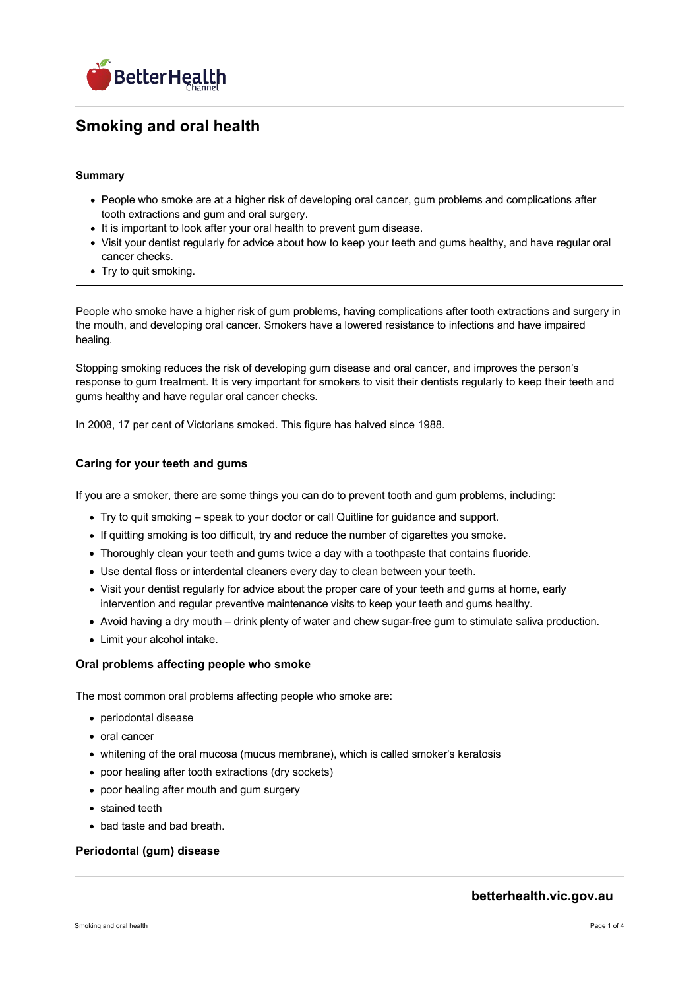

# **Smoking and oral health**

## **Summary**

- People who smoke are at a higher risk of developing oral cancer, gum problems and complications after tooth extractions and gum and oral surgery.
- It is important to look after your oral health to prevent gum disease.
- Visit your dentist regularly for advice about how to keep your teeth and gums healthy, and have regular oral cancer checks.
- Try to quit smoking.

People who smoke have a higher risk of gum problems, having complications after tooth extractions and surgery in the mouth, and developing oral cancer. Smokers have a lowered resistance to infections and have impaired healing.

Stopping smoking reduces the risk of developing gum disease and oral cancer, and improves the person's response to gum treatment. It is very important for smokers to visit their dentists regularly to keep their teeth and gums healthy and have regular oral cancer checks.

In 2008, 17 per cent of Victorians smoked. This figure has halved since 1988.

# **Caring for your teeth and gums**

If you are a smoker, there are some things you can do to prevent tooth and gum problems, including:

- Try to quit smoking speak to your doctor or call Quitline for guidance and support.
- If quitting smoking is too difficult, try and reduce the number of cigarettes you smoke.
- Thoroughly clean your teeth and gums twice a day with a toothpaste that contains fluoride.
- Use dental floss or interdental cleaners every day to clean between your teeth.
- Visit your dentist regularly for advice about the proper care of your teeth and gums at home, early intervention and regular preventive maintenance visits to keep your teeth and gums healthy.
- Avoid having a dry mouth drink plenty of water and chew sugar-free gum to stimulate saliva production.
- Limit your alcohol intake.

### **Oral problems affecting people who smoke**

The most common oral problems affecting people who smoke are:

- periodontal disease
- oral cancer
- whitening of the oral mucosa (mucus membrane), which is called smoker's keratosis
- poor healing after tooth extractions (dry sockets)
- poor healing after mouth and gum surgery
- stained teeth
- bad taste and bad breath.

# **Periodontal (gum) disease**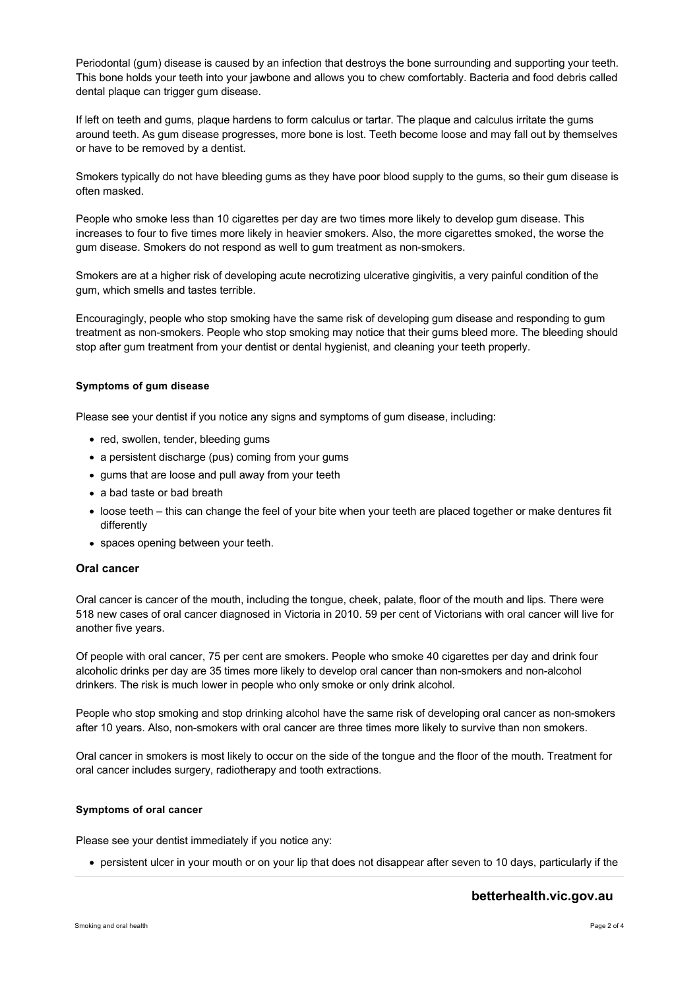Periodontal (gum) disease is caused by an infection that destroys the bone surrounding and supporting your teeth. This bone holds your teeth into your jawbone and allows you to chew comfortably. Bacteria and food debris called dental plaque can trigger gum disease.

If left on teeth and gums, plaque hardens to form calculus or tartar. The plaque and calculus irritate the gums around teeth. As gum disease progresses, more bone is lost. Teeth become loose and may fall out by themselves or have to be removed by a dentist.

Smokers typically do not have bleeding gums as they have poor blood supply to the gums, so their gum disease is often masked.

People who smoke less than 10 cigarettes per day are two times more likely to develop gum disease. This increases to four to five times more likely in heavier smokers. Also, the more cigarettes smoked, the worse the gum disease. Smokers do not respond as well to gum treatment as non-smokers.

Smokers are at a higher risk of developing acute necrotizing ulcerative gingivitis, a very painful condition of the gum, which smells and tastes terrible.

Encouragingly, people who stop smoking have the same risk of developing gum disease and responding to gum treatment as non-smokers. People who stop smoking may notice that their gums bleed more. The bleeding should stop after gum treatment from your dentist or dental hygienist, and cleaning your teeth properly.

#### **Symptoms of gum disease**

Please see your dentist if you notice any signs and symptoms of gum disease, including:

- red, swollen, tender, bleeding gums
- a persistent discharge (pus) coming from your gums
- gums that are loose and pull away from your teeth
- a bad taste or bad breath
- loose teeth this can change the feel of your bite when your teeth are placed together or make dentures fit differently
- spaces opening between your teeth.

### **Oral cancer**

Oral cancer is cancer of the mouth, including the tongue, cheek, palate, floor of the mouth and lips. There were 518 new cases of oral cancer diagnosed in Victoria in 2010. 59 per cent of Victorians with oral cancer will live for another five years.

Of people with oral cancer, 75 per cent are smokers. People who smoke 40 cigarettes per day and drink four alcoholic drinks per day are 35 times more likely to develop oral cancer than non-smokers and non-alcohol drinkers. The risk is much lower in people who only smoke or only drink alcohol.

People who stop smoking and stop drinking alcohol have the same risk of developing oral cancer as non-smokers after 10 years. Also, non-smokers with oral cancer are three times more likely to survive than non smokers.

Oral cancer in smokers is most likely to occur on the side of the tongue and the floor of the mouth. Treatment for oral cancer includes surgery, radiotherapy and tooth extractions.

#### **Symptoms of oral cancer**

Please see your dentist immediately if you notice any:

persistent ulcer in your mouth or on your lip that does not disappear after seven to 10 days, particularly if the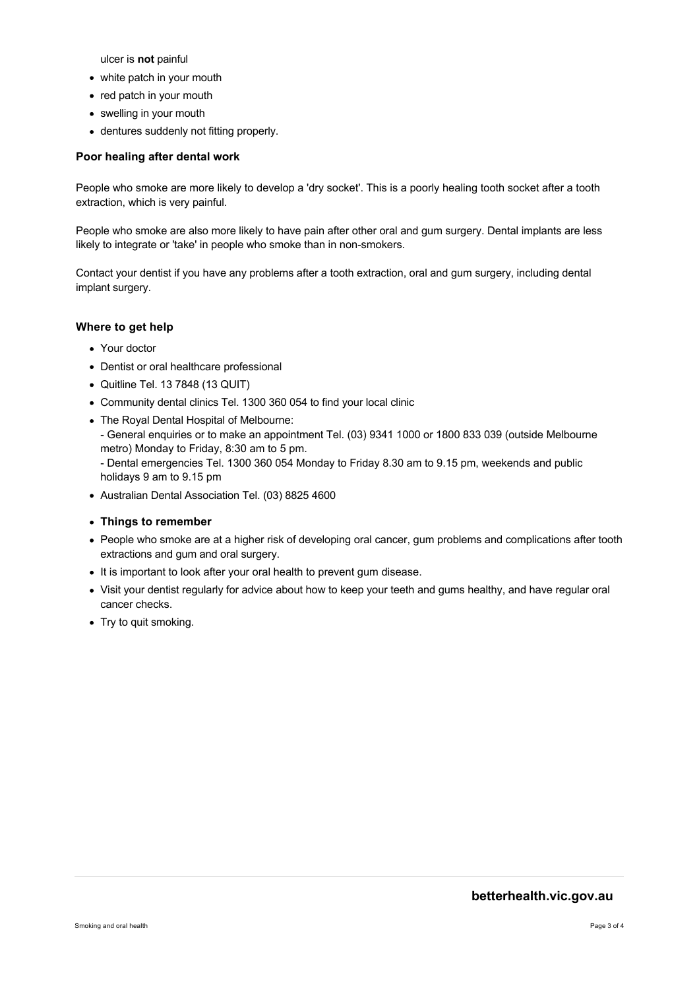ulcer is **not** painful

- white patch in your mouth
- red patch in your mouth
- swelling in your mouth
- dentures suddenly not fitting properly.

### **Poor healing after dental work**

People who smoke are more likely to develop a 'dry socket'. This is a poorly healing tooth socket after a tooth extraction, which is very painful.

People who smoke are also more likely to have pain after other oral and gum surgery. Dental implants are less likely to integrate or 'take' in people who smoke than in non-smokers.

Contact your dentist if you have any problems after a tooth extraction, oral and gum surgery, including dental implant surgery.

# **Where to get help**

- Your doctor
- Dentist or oral healthcare professional
- Quitline Tel. 13 7848 (13 QUIT)
- Community dental clinics Tel. 1300 360 054 to find your local clinic
- The Royal Dental Hospital of Melbourne:
- General enquiries or to make an appointment Tel. (03) 9341 1000 or 1800 833 039 (outside Melbourne metro) Monday to Friday, 8:30 am to 5 pm.
- Dental emergencies Tel. 1300 360 054 Monday to Friday 8.30 am to 9.15 pm, weekends and public holidays 9 am to 9.15 pm
- Australian Dental Association Tel. (03) 8825 4600
- **Things to remember**
- People who smoke are at a higher risk of developing oral cancer, gum problems and complications after tooth extractions and gum and oral surgery.
- It is important to look after your oral health to prevent gum disease.
- Visit your dentist regularly for advice about how to keep your teeth and gums healthy, and have regular oral cancer checks.
- Try to quit smoking.